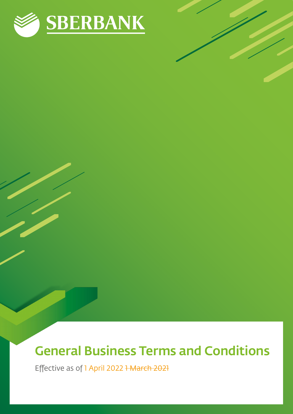

# General Business Terms and Conditions

Effective as of 1 April 2022 1 March 2021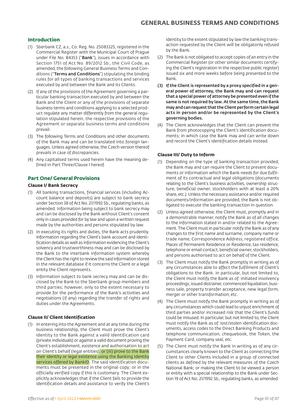# **Introduction**

- (1) Sberbank CZ, a.s., Co. Reg. No. 25083325, registered in the Commercial Register with the Municipal Court of Prague under File No. B4353 ("Bank"), issues in accordance with Section 1751 of Act No. 89/2012 Sb., the Civil Code, as amended, the following General Business Terms and Conditions ("Terms and Conditions") stipulating the binding rules for all types of banking transactions and services executed by and between the Bank and its Clients.
- (2) If any of the provisions of the Agreement governing a particular banking transaction executed by and between the Bank and the Client or any of the provisions of separate business terms and conditions applying to a selected product regulate any matter differently from the general regulation stipulated herein, the respective provisions of the Agreement or separate business terms and conditions prevail.
- (3) The following Terms and Conditions and other documents of the Bank may and can be translated into foreign languages. Unless agreed otherwise, the Czech version thereof prevails in case of discrepancies.
- (4) Any capitalised terms used herein have the meaning defined in Part Three/Clause I hereof.

# **Part One/ General Provisions**

## **Clause I/ Bank Secrecy**

- (1) All banking transactions, financial services (including Account balance and deposits) are subject to bank secrecy under Section 38 of Act No. 21/1992 Sb., regulating banks, as amended. Information being subject to bank secrecy may and can be disclosed by the Bank without Client's consent only in cases provided for by law and upon a written request made by the authorities and persons stipulated by law.
- (2) In executing its rights and duties, the Bank acts prudently. Information regarding the Client's bank account and identification details as well as information evidencing the Client's solvency and trustworthiness may and can be disclosed by the Bank to the interbank information system whereby the Client has the right to review the said information stored in the relevant database if it concerns the Client or a legal entity the Client represents.
- (3) Information subject to bank secrecy may and can be disclosed by the Bank to the Sberbank group members and third parties; however, only to the extent necessary to provide for the performance of the Bank's activities and negotiations (if any) regarding the transfer of rights and duties under the Agreements.

#### **Clause II/ Client Identification**

(1) In entering into the Agreement and at any time during the business relationship, the Client must prove the Client's identity to the Bank against a valid identification card (private individuals) or against a valid document proving the Client's establishment, existence and authorisation to act on Client's behalf (legal entities), or (iii) prove to the Bank their identity or legal existence using the Banking Identity services offered by BankID. The said identification documents must be presented in the original copy; or in the officially verified copy if this is customary. The Client explicitly acknowledges that if the Client fails to provide the identification details and assistance to verify the Client's

identity to the extent stipulated by law the banking transaction requested by the Client will be obligatorily refused by the Bank.

- (2) The Bank is not obligated to accept copies of an entry in the Commercial Register (or other similar documents certifying the Client's registration in the respective public register) issued six and more weeks before being presented to the Bank.
- (3) If the Client is represented by a proxy specified in a general power of attorney, the Bank may and can request that a special power of attorney be presented even if the same is not required by law. At the same time, the Bank may and can request that the Client perform certain legal acts in person and/or be represented by the Client's governing bodies.
- (4) The Client acknowledges that the Client can prevent the Bank from photocopying the Client's identification documents; in which case the Bank may and can write down and record the Client's identification details instead.

#### **Clause III/ Duty to Inform**

- (1) Depending on the type of banking transaction provided, the Bank may and can require the Client to present documents or information which the Bank needs for due fulfilment of its contractual and legal obligations (documents relating to the Client's business activities, ownership structure, beneficial owner, stockholders with at least a 20% share, etc.). Unless the necessary assistance and/or required documents/information are provided, the Bank is not obligated to execute the banking transaction in question.
- (2) Unless agreed otherwise, the Client must, promptly and in a demonstrable manner, notify the Bank as of all changes to the information stated in and/or related to the Agreement. The Client must in particular notify the Bank as of any changes to the first name and surname, company name or trade name, Correspondence Address, registered office, Places of Permanent Residence or Residence, tax residence, telephone or email contact, beneficial owner, stockholders, and persons authorised to act on behalf of the Client.
- (3) The Client must notify the Bank promptly in writing as of any circumstances able to affect the fulfilment of Client's obligations to the Bank. In particular, but not limited to, the Client must notify the Bank as of: initiated insolvency proceedings, issued distrainer, commenced liquidation, business sale, property transfer acceptance, new legal form, merger or other transformation, etc.
- (4) The Client must notify the Bank promptly in writing as of any circumstances which could lead to unjust enrichment of third parties and/or increased risk that the Client's funds could be misused. In particular, but not limited to, the Client must notify the Bank as of: lost/stolen identification documents, access codes to the Direct Banking Products and telephone communication, chequebook, the Token, the Payment Card, company seal, etc.
- (5) The Client must notify the Bank in writing as of any circumstances clearly known to the Client as connecting the Client to other Clients included in a group of connected clients as defined by the relevant measures of the Czech National Bank; or making the Client to be viewed a person or entity with a special relationship to the Bank under Section 19 of Act No. 21/1992 Sb., regulating banks, as amended.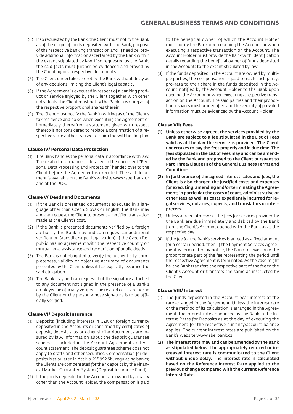- (6) If so requested by the Bank, the Client must notify the Bank as of the origin of funds deposited with the Bank, purpose of the respective banking transaction and, if need be, provide additional information ascertained by the Bank within the extent stipulated by law. If so requested by the Bank, the said facts must further be evidenced and proved by the Client against respective documents.
- (7) The Client undertakes to notify the Bank without delay as of any decisions limiting the Client's legal capacity.
- (8) If the Agreement is executed in respect of a banking product or service enjoyed by the Client together with other individuals, the Client must notify the Bank in writing as of the respective proportional shares therein.
- (9) The Client must notify the Bank in writing as of the Client's tax residence and do so when executing the Agreement or immediately thereafter; a statement given with respect thereto is not considered to replace a confirmation of a respective state authority used to claim the withholding tax.

### **Clause IV/ Personal Data Protection**

(1) The Bank handles the personal data in accordance with law. The related information is detailed in the document "Personal Data Processing and Protection" handed over to the Client before the Agreement is executed. The said document is available on the Bank's website www.sberbank.cz and at the POS.

### **Clause V/ Deeds and Documents**

- (1) If the Bank is presented documents executed in a language other than Czech, Slovak or English, the Bank may and can request the Client to present a certified translation made at the Client's cost.
- (2) If the Bank is presented documents verified by a foreign authority, the Bank may and can request an additional verification (apostille/super legalization); if the Czech Republic has no agreement with the respective country on mutual legal assistance and recognition of public deeds.
- (3) The Bank is not obligated to verify the authenticity, completeness, validity or objective accuracy of documents presented by the Client unless it has explicitly assumed the said obligation.
- (4) The Bank may and can request that the signature attached to any document not signed in the presence of a Bank's employee be officially verified; the related costs are borne by the Client or the person whose signature is to be officially verified.

#### **Clause VI/ Deposit Insurance**

- (1) Deposits (including interest) in CZK or foreign currency deposited in the Accounts or confirmed by certificates of deposit, deposit slips or other similar documents are insured by law. Information about the deposit guarantee scheme is included in the Account Agreement and Account statement. The deposit guarantee scheme does not apply to drafts and other securities. Compensation for deposits is stipulated in Act No. 21/1992 Sb., regulating banks; the Clients are compensated for their deposits by the Financial Market Guarantee System (Deposit Insurance Fund).
- (2) If the funds deposited in the Account are owned by a party other than the Account Holder, the compensation is paid

to the beneficial owner; of which the Account Holder must notify the Bank upon opening the Account or when executing a respective transaction on the Account. The Account Holder must provide the Bank with identification details regarding the beneficial owner of funds deposited in the Account; to the extent stipulated by law.

(3) If the funds deposited in the Account are owned by multiple parties, the compensation is paid to each such party; pro-rata to their share in the funds deposited in the Account notified by the Account Holder to the Bank upon opening the Account or when executing a respective transaction on the Account. The said parties and their proportional shares must be identified and the veracity of provided information must be evidenced by the Account Holder.

### **Clause VII/ Fees**

- (1) Unless otherwise agreed, the services provided by the Bank are subject to a fee stipulated in the List of Fees valid as at the day the service is provided. The Client undertakes to pay the fees properly and in due time. The fees stipulated in the List of Fees may and can be amended by the Bank and proposed to the Client pursuant to Part Three/Clause III of the General Business Terms and Conditions.
- (2) In furtherance of the agreed interest rates and fees, the Client is also charged the justified costs and expenses for executing, amending and/or terminating the Agreement; in particular the costs of court, administrative or other fees as well as costs expediently incurred for legal services, notaries, experts, and translators or interpreters.
- (3) Unless agreed otherwise, the fees for services provided by the Bank are due immediately and debited by the Bank from the Client's Account opened with the Bank as at the respective day.
- (4) If the fee for the Bank's services is agreed as a fixed amount for a certain period, then, if the Payment Services Agreement is terminated by notice, the Bank receives only the proportionate part of the fee representing the period until the respective Agreement is terminated. As the case might be, the Bank transfers the respective part of the fee to the Client's Account or transfers the same as instructed by the Client.

#### **Clause VIII/ Interest**

- (1) The funds deposited in the Account bear interest at the rate arranged in the Agreement. Unless the interest rate or the method of its calculation is arranged in the Agreement, the interest rate announced by the Bank in the Interest Rates for Deposits as at the day of executing the Agreement for the respective currency/account balance applies. The current interest rates are published on the Bank's website www.sberbank.cz.
- (2) The interest rate may and can be amended by the Bank as stipulated below; the appropriately reduced or increased interest rate is communicated to the Client without undue delay. The interest rate is calculated based on the Reference Interest Rate applied to the previous change compared with the current Reference Interest Rate.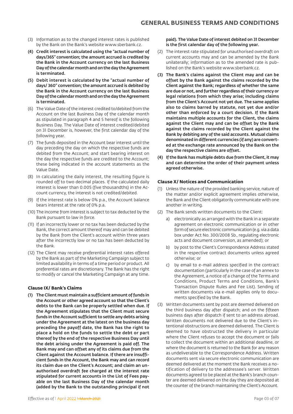- (3) Information as to the changed interest rates is published by the Bank on the Bank's website www.sberbank.cz.
- (4) Credit interest is calculated using the "actual number of days/365" convention; the amount accrued is credited by the Bank in the Account currency on the last Business Day of the calendar month and on the day the Agreement is terminated.
- (5) Debit interest is calculated by the "actual number of days/ 360" convention; the amount accrued is debited by the Bank in the Account currency on the last Business Day of the calendar month and on the day the Agreement is terminated.
- (6) The Value Date of the interest credited to/debited from the Account on the last Business Day of the calendar month as stipulated in paragraph 4 and 5 hereof is the following Business Day. The Value Date of interest credited/debited on 31 December is, however, the first calendar day of the following year.
- (7) The funds deposited in the Account bear interest until the day preceding the day on which the respective funds are debited from the Account; and start bearing interest on the day the respective funds are credited to the Account; these being indicated in the account statements as the Value Date.
- (8) In calculating the daily interest, the resulting figure is rounded off to two decimal places. If the calculated daily interest is lower than 0.005 (five thousandths) in the Account currency, the interest is not credited/debited.
- (9) If the interest rate is below 0% p.a., the Account balance bears interest at the rate of 0% p.a.
- (10) The income from interest is subject to tax deducted by the Bank pursuant to law in force.
- (11) If an incorrectly lower or no tax has been deducted by the Bank, the correct amount thereof may and can be debited by the Bank from the Client's account within three years after the incorrectly low or no tax has been deducted by the Bank.
- (12) The Client may receive preferential interest rates offered by the Bank as part of the Marketing Campaign subject to limited availability in terms of a time period or product. All preferential rates are discretionary. The Bank has the right to modify or cancel the Marketing Campaign at any time.

# **Clause IX/ Bank's Claims**

(1) The Client must maintain a sufficient amount of funds in the Account or other agreed account so that the Client's debts to the Bank can be properly settled when due. If the Agreement stipulates that the Client must secure funds in the Account sufficient to settle any debts arising under the Agreement at the latest on the business day preceding the payoff date, the Bank has the right to place a hold on the funds to settle the debt or part thereof by the end of the respective Business Day until the debt arising under the Agreement is paid off. The Bank may and can offset any of its claims due from the Client against the Account balance. If there are insufficient funds in the Account, the Bank may and can record its claim due on the Client's Account; and claim an unauthorised overdraft fee charged at the interest rate stipulated for current accounts in the List of Fees payable on the last Business Day of the calendar month (added by the Bank to the outstanding principal if not

#### paid). The Value Date of interest debited on 31 December is the first calendar day of the following year.

- (2) The interest rate stipulated for unauthorised overdraft on current accounts may and can be amended by the Bank unilaterally; information as to the amended rate is published on the Bank's website www.sberbank.cz.
- (3) The Bank's claims against the Client may and can be offset by the Bank against the claims recorded by the Client against the Bank; regardless of whether the same are due or not, and further regardless of their currency or legal relations from which they arise; including claims from the Client's Account not yet due. The same applies also to claims barred by statute, not yet due and/or other than enforced by a court decision. If the Bank maintains multiple accounts for the Client, the claims against the Client may and can be offset by the Bank against the claims recorded by the Client against the Bank by debiting any of the said accounts. Mutual claims denominated in different currencies (if any) are converted at the exchange rate announced by the Bank on the day the respective claims are offset.
- (4) If the Bank has multiple debts due from the Client, it may and can determine the order of their payment unless agreed otherwise.

### **Clause X/ Notices and Communication**

- (1) Unless the nature of the provided banking service, nature of the matter and/or explicit agreement implies otherwise, the Bank and the Client obligatorily communicate with one another in writing.
- (2) The Bank sends written documents to the Client:
	- a) electronically as arranged with the Bank in a separate agreement on electronic communication or in other form of secure electronic communication (e.g. via a data box under Act No. 300/2008 Sb., regulating electronic acts and document conversion, as amended); or
	- b) by post to the Client's Correspondence Address stated in the respective contract documents unless agreed otherwise; or
	- c) by email to e-mail address specified in the contract documentation (particularly in the case of an annex to the Agreement, a notice of a change of the Terms and Conditions, Product Terms and Conditions, Bank's Transaction Dispute Rules and Fee List). Sending of written documents via e-mail applies only to documents specified by the Bank.
- (3) Written documents sent by post are deemed delivered on the third business day after dispatch; and on the fifteen business days after dispatch if sent to an address abroad. Written documents not delivered due to the Client's intentional obstructions are deemed delivered. The Client is deemed to have obstructed the delivery in particular where the Client refuses to accept the document or fails to collect the document within an additional deadline, or where the document is returned to the Bank for any reason as undeliverable to the Correspondence Address. Written documents sent via secure electronic communication are deemed delivered at the moment the Bank receives a notification of delivery to the addressee's server. Written documents agreed to be placed at the Bank's branch counter are deemed delivered on the day they are deposited at the counter of the branch maintaining the Client's Account.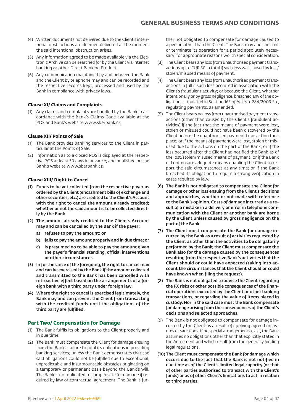- (4) Written documents not delivered due to the Client's intentional obstructions are deemed delivered at the moment the said intentional obstruction arises.
- (5) Any information agreed to be made available via the Electronic Archive can be searched for by the Client via internet banking or other Direct Banking Product.
- (6) Any communication maintained by and between the Bank and the Client by telephone may and can be recorded and the respective records kept, processed and used by the Bank in compliance with privacy laws.

# **Clause XI/ Claims and Complaints**

(1) Any claims and complaints are handled by the Bank in accordance with the Bank's Claims Code available at the POS and Bank's website www.sberbank.cz.

# **Clause XII/ Points of Sale**

- (1) The Bank provides banking services to the Client in particular at the Points of Sale.
- (2) Information as to a closed POS is displayed at the respective POS at least 30 days in advance; and published on the Bank's website www.sberbank.cz.

### **Clause XIII/ Right to Cancel**

- (1) Funds to be yet collected from the respective payer as ordered by the Client (encashment bills of exchange and other securities, etc.) are credited to the Client's Account with the right to cancel the amount already credited: whether or not the said amount is to be collected directly by the Bank.
- (2) The amount already credited to the Client's Account may and can be cancelled by the Bank if the payer:
	- a) refuses to pay the amount; or
	- b) fails to pay the amount properly and in due time; or
	- c) is presumed no to be able to pay the amount given the payer's financial standing, official interventions or other circumstances.
- (3) In furtherance of the foregoing, the right to cancel may and can be exercised by the Bank if the amount collected and transmitted to the Bank has been cancelled with retroactive effect based on the arrangements of a foreign bank with a third party under foreign law.
- (4) Where the right to cancel is exercised legitimately, the Bank may and can prevent the Client from transacting with the credited funds until the obligations of the third party are fulfilled.

# **Part Two/ Compensation for Damage**

- (1) The Bank fulfils its obligations to the Client properly and in due time.
- (2) The Bank must compensate the Client for damage ensuing from the Bank's failure to fulfil its obligations in providing banking services; unless the Bank demonstrates that the said obligations could not be fulfilled due to exceptional, unpredictable and insurmountable obstacles originating on a temporary or permanent basis beyond the Bank's will. The Bank is not obligated to compensate for damage if required by law or contractual agreement. The Bank is fur-

ther not obligated to compensate for damage caused to a person other than the Client. The Bank may and can limit or terminate its operation for a period absolutely necessary; for appropriate reasons worth special consideration.

- (3) The Client bears any loss from unauthorised payment transactions up to EUR 50 in total if such loss was caused by lost/ stolen/misused means of payment.
- (4) The Client bears any loss from unauthorised payment transactions in full if such loss occurred in association with the Client's fraudulent activity; or because the Client, whether intentionally or by gross negligence, breached any of the obligations stipulated in Section 165 of Act No. 284/2009 Sb., regulating payments, as amended.
- (5) The Client bears no loss from unauthorised payment transactions (other than caused by the Client's fraudulent activities) if the fact that the means of payment were lost, stolen or misused could not have been discovered by the Client before the unauthorised payment transaction took place; or if the means of payment were lost, stolen or misused due to the actions on the part of the Bank; or if the loss occurred after the Client had notified the Bank as of the lost/stolen/misused means of payment; or if the Bank did not ensure adequate means enabling the Client to report the said circumstances at any time; or if the Bank breached its obligation to require a strong verification in cases required by law.
- (6) The Bank is not obligated to compensate the Client for damage or other loss ensuing from the Client's decisions and approaches, whether or not made with reference to the Bank's opinion. Costs of damage incurred as a result of a mistake in a delivery or error in telephone communication with the Client or another bank are borne by the Client unless caused by gross negligence on the part of the Bank.
- (7) The Client must compensate the Bank for damage incurred by the Bank as a result of activities requested by the Client as other than the activities to be obligatorily performed by the Bank; the Client must compensate the Bank also for the damage caused by the consequences resulting from the respective Bank's activities that the Client should or could have expected (taking into account the circumstances that the Client should or could have known when filing the request).
- (8) The Bank is not obligated to advise the Client regarding the FX risks or other possible consequences of the financial operations executed by the Client or other banking transactions, or regarding the value of items placed in custody. Nor in the said case must the Bank compensate for damage arising from the consequences of the Client's decisions and selected approaches.
- (9) The Bank is not obligated to compensate for damage incurred by the Client as a result of applying agreed measures or sanctions. If no special arrangements exist, the Bank assumes no obligations other than that explicitly stated in the Agreement and which result from the generally binding legal regulations.
- (10) The Client must compensate the Bank for damage which occurs due to the fact that the Bank is not notified in due time as of the Client's limited legal capacity (or that of other parties authorised to transact with the Client's funds) or as of other Client's limitations to act in relation to third parties.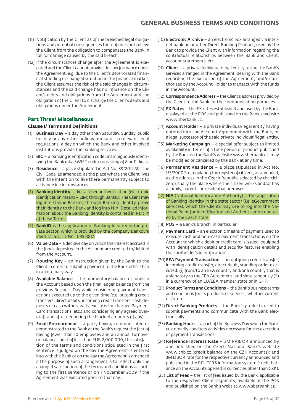- (11) Notification by the Client as of the breached legal obligations and potential consequences thereof does not relieve the Client from the obligation to compensate the Bank in full for damage caused by the said breach.
- (12) If the circumstances change after the Agreement is executed and the Client cannot provide due performance under the Agreement, e.g. due to the Client's deteriorated financial standing or changed situation in the financial market, the Client assumes the risk of the said changes in circumstances and the said change has no influence on the Client's debts and obligations from the Agreement and the obligation of the Client to discharge the Client's debts and obligations under the Agreement.

# **Part Three/ Miscellaneous**

### **Clause I/ Terms and Definitions**

- (1) Business Day a day other than Saturday, Sunday, public holiday or any other holiday pursuant to relevant legal regulations; a day on which the Bank and other involved institutions provide the banking services.
- (2) BIC a banking identification code unambiguously identifying the Bank (aka SWIFT code) consisting of 8 or 11 digits.
- (3) Residence a place stipulated in Act No. 89/2012 Sb., the Civil Code, as amended, as the place where the Client lives with the intention to live there permanently subject to a change in circumstances.
- (4) Banking Identity is digital User authentication (electronic identification means – EIM) through BankID. The Client may log into Online Banking through Banking Identity, prove their identity to the Bank and log into NIA. Detailed information about the Banking Identity is contained in Part IX of these Terms.
- (5) BankID is the application of Banking Identity in the private sector, which is provided by the company Bankovní identita, a.s., ID No.: 09513817.
- (6) Value Date a decisive day on which the interest accrued in the funds deposited in the Account are credited to/debited from the Account.
- (7) Routing Key an instruction given by the Bank to the Client in order to submit a payment to the Bank other than in an ordinary way.
- (8) Available Balance the momentary balance of funds in the Account based upon the final ledger balance from the previous Business Day while considering payment transactions executed up to the given time (e.g. outgoing credit transfers, direct debits, incoming credit transfers, cash deposits or cash withdrawals, executed or charged Payment Card transactions, etc.) and considering any agreed overdraft and after deducting the blocked amounts (if any).
- (9) Small Entrepreneur a party having communicated or demonstrated to the Bank at the Bank's request the fact of having fewer than 10 employees and an annual turnover or balance sheet of less than EUR 2,000,000; the satisfaction of the terms and conditions stipulated in the first sentence is judged on the day the Agreement is entered into with the Bank or on the day the Agreement is amended if the purpose of such arrangement is to reflect only the changed satisfaction of the terms and conditions according to the first sentence or on 1 November 2009 if the Agreement was executed prior to that day.
- (10) Electronic Archive an electronic box arranged via internet banking or other Direct Banking Product; used by the Bank to provide the Client with information regarding the contractual relationships between the Bank and Client, account statements, etc.
- (11) Client a private individual/legal entity: using the Bank's services arranged in the Agreement; dealing with the Bank regarding the execution of the Agreement; and/or authorised by the Account Holder to transact with the funds in the Account.
- (12) Correspondence Address the Client's address provided by the Client to the Bank for the communication purposes.
- (13) FX Rates the FX rates established and used by the Bank displayed at the POS and published on the Bank's website www.sberbank.cz.
- (14) Account Holder a private individual/legal entity having entered into the Account Agreement with the Bank; or a legal successor of the said private individual/legal entity.
- (15) Marketing Campaign a special offer subject to limited availability in terms of a time period or product published by the Bank on the Bank's website www.sberbank.cz; may be modified or cancelled by the Bank at any time.
- (16) Permanent Residence a place stipulated in Act No. 133/2000 Sb., regulating the register of citizens, as amended, as the address in the Czech Republic selected by the citizen; usually the place where the citizen works and/or has a family, parents or residential premises.
- (17) NIA (National Identification Authority) is the application of Banking Identity in the state sector (i.e. eGovernment services), which the Clients may use to log into the National Point for Identification and Authentication operated by the Czech state.
- (18) POS a Bank's branch, in particular.
- (19) Payment Card an electronic means of payment used to execute cash and non-cash payment transactions on the Account to which a debit or credit card is issued; equipped with identification details and security features enabling the cardholder's identification.
- (20)EEA Payment Transaction an outgoing credit transfer, incoming credit transfer, direct debit, standing order executed: (i) from/to an EEA country and/or a country that is a signatory to the EEA Agreement; and simultaneously (ii) in a currency of an EU/EEA member state or in CHF.
- (21) Product Terms and Conditions the Bank's business terms and conditions for its products or services, whether current or future.
- (22) Direct Banking Products the Bank's products used to submit payments and communicate with the Bank electronically.
- (23) Banking Hours a part of the Business Day when the Bank customarily conducts activities necessary for the execution of payment transactions.
- (24) Reference Interest Rate 3M PRIBOR announced by and published on the Czech National Bank's website www.cnb.cz (credit balance on the CZK Accounts); and 3M LIBOR rate for the respective currency announced and published in the REUTERS information system (credit balance on the Accounts opened in currencies other than CZK).
- (25) List of Fees the list of fees issued by the Bank, applicable to the respective Client segments; available at the POS and published on the Bank's website www.sberbank.cz.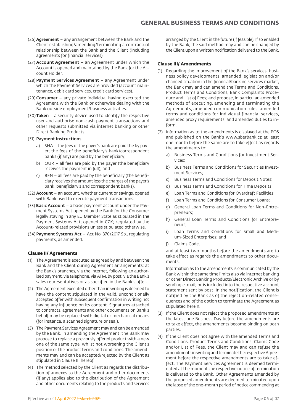- (26) Agreement any arrangement between the Bank and the Client establishing/amending/terminating a contractual relationship between the Bank and the Client (including agreements for financial services).
- (27) Account Agreement an Agreement under which the Account is opened and maintained by the Bank for the Account Holder.
- (28) Payment Services Agreement any Agreement under which the Payment Services are provided (account maintenance, debit card services, credit card services).
- (29) Consumer any private individual having executed the Agreement with the Bank or otherwise dealing with the Bank outside employment/business activities.
- (30) Token a security device used to identify the respective user and authorise non-cash payment transactions and other requests submitted via internet banking or other Direct Banking Products.
- (31) Payment Instructions
	- a) SHA the fees of the payer's bank are paid the by payer; the fees of the beneficiary's bank/correspondent banks (if any) are paid by the beneficiary;
	- b) OUR all fees are paid by the payer (the beneficiary receives the payment in full); and
	- c) BEN all fees are paid by the beneficiary (the beneficiary receives the amount less the charges of the payer's bank, beneficiary's and correspondent banks).
- (32) Account an account, whether current or savings, opened with Bank used to execute payment transactions.
- (33) Basic Account a basic payment account under the Payment Systems Act opened by the Bank for the Consumer legally staying in any EU Member State as stipulated in the Payment Systems Act; opened in CZK; regulated by the Account-related provisions unless stipulated otherwise.
- (34) Payment Systems Act Act No. 370/2017 Sb., regulating payments, as amended.

# **Clause II/ Agreements**

- (1) The Agreement is executed as agreed by and between the Bank and the Client during Agreement arrangements; at the Bank's branches, via the internet, following an authorised payment, via telephone, via ATM, by post, via the Bank's sales representatives or as specified in the Bank's offer.
- (2) The Agreement executed other than in writing is deemed to have the content stipulated in the valid, unconditionally accepted offer with subsequent confirmation in writing not having any influence on its content. Signatures attached to contracts, agreements and other documents on Bank's behalf may be replaced with digital or mechanical means (for instance, a scanned signature or seal).
- (3) The Payment Services Agreement may and can be amended by the Bank. In amending the Agreement, the Bank may propose to replace a previously offered product with a new one of the same type, whilst not worsening the Client's position or the product terms and conditions. The amendments may and can be accepted/rejected by the Client as stipulated in Clause III hereof.
- (4) The method selected by the Client as regards the distribution of annexes to the Agreement and other documents (if any) applies also to the distribution of the Agreement and other documents relating to the products and services

arranged by the Client in the future (if feasible). If so enabled by the Bank, the said method may and can be changed by the Client upon a written notification delivered to the Bank.

## **Clause III/ Amendments**

- (1) Regarding the improvement of the Bank's services, business policy developments, amended legislation and/or changed situation in the financial/banking services market, the Bank may and can amend the Terms and Conditions, Product Terms and Conditions, Bank Complaints Procedure and List of Fees; and propose, in particular, amended methods of executing, amending and terminating the Agreements, amended communication rules, amended terms and conditions for individual financial services, amended proxy requirements, and amended duties to inform.
- (2) Information as to the amendments is displayed at the POS and published on the Bank's www.sberbank.cz at least one month before the same are to take effect as regards the amendments to:
	- a) Business Terms and Conditions for Investment Services;
	- b) Business Terms and Conditions for Securities Investment Services;
	- c) Business Terms and Conditions for Deposit Notes;
	- d) Business Terms and Conditions for Time Deposits;
	- e) Loan Terms and Conditions for Overdraft Facilities;
	- f) Loan Terms and Conditions for Consumer Loans;
	- g) General Loan Terms and Conditions for Non-Entrepreneurs;
	- h) General Loan Terms and Conditions for Entrepreneurs;
	- i) Loan Terms and Conditions for Small and Medium-Sized Enterprises; and
	- j) Claims Code,

and at least two months before the amendments are to take effect as regards the amendments to other documents.

Information as to the amendments is communicated by the Bank within the same time limits also via internet banking or other Direct Banking Products/Electronic Archive or by sending e-mail; or is included into the respective account statement sent by post. In the notification, the Client is notified by the Bank as of the rejection-related consequences and of the option to terminate the Agreement as stipulated herein.

- (3) If the Client does not reject the proposed amendments at the latest one Business Day before the amendments are to take effect, the amendments become binding on both parties.
- (4) If the Client does not agree with the amended Terms and Conditions, Product Terms and Conditions, Claims Code and/or List of Fees, the Client may and can refuse the amendments in writing and terminate the respective Agreement before the respective amendments are to take effect. The Payment Services Agreement is deemed terminated at the moment the respective notice of termination is delivered to the Bank. Other Agreements amended by the proposed amendments are deemed terminated upon the lapse of the one-month period of notice commencing at